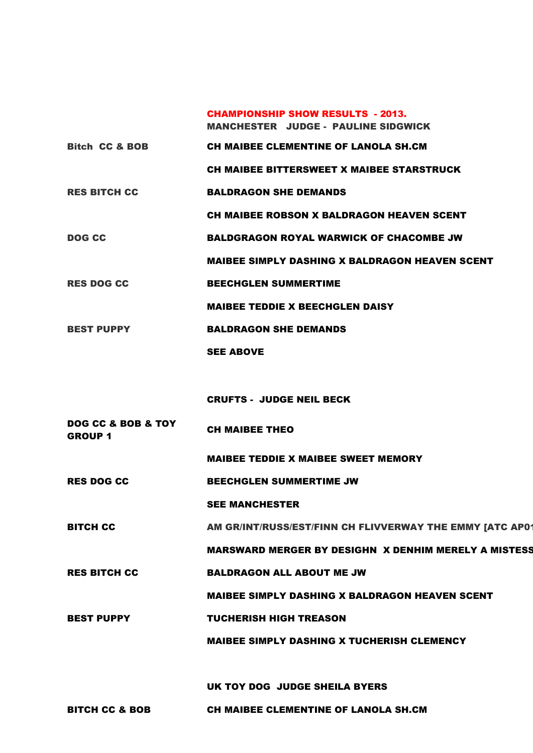|                           | <b>CHAMPIONSHIP SHOW RESULTS - 2013.</b><br><b>MANCHESTER JUDGE - PAULINE SIDGWICK</b> |
|---------------------------|----------------------------------------------------------------------------------------|
| <b>Bitch CC &amp; BOB</b> | <b>CH MAIBEE CLEMENTINE OF LANOLA SH.CM</b>                                            |
|                           | <b>CH MAIBEE BITTERSWEET X MAIBEE STARSTRUCK</b>                                       |
| <b>RES BITCH CC</b>       | <b>BALDRAGON SHE DEMANDS</b>                                                           |
|                           | CH MAIBEE ROBSON X BALDRAGON HEAVEN SCENT                                              |
| <b>DOG CC</b>             | <b>BALDGRAGON ROYAL WARWICK OF CHACOMBE JW</b>                                         |
|                           | <b>MAIBEE SIMPLY DASHING X BALDRAGON HEAVEN SCENT</b>                                  |
| <b>RES DOG CC</b>         | <b>BEECHGLEN SUMMERTIME</b>                                                            |
|                           | <b>MAIBEE TEDDIE X BEECHGLEN DAISY</b>                                                 |
| <b>BEST PUPPY</b>         | <b>BALDRAGON SHE DEMANDS</b>                                                           |
|                           | <b>SEE ABOVE</b>                                                                       |
|                           |                                                                                        |
|                           | <b>CRUFTS - JUDGE NEIL BECK</b>                                                        |
|                           |                                                                                        |

DOG CC & BOB & TOY GROUP 1 CH MAIBEE THEO

MAIBEE TEDDIE X MAIBEE SWEET MEMORY

RES DOG CC BEECHGLEN SUMMERTIME JW

SEE MANCHESTER

BITCH CC AM GR/INT/RUSS/EST/FINN CH FLIVVERWAY THE EMMY [ATC AP0119]

MARSWARD MERGER BY DESIGHN X DENHIM MERELY A MISTESS

RES BITCH CC BALDRAGON ALL ABOUT ME JW

MAIBEE SIMPLY DASHING X BALDRAGON HEAVEN SCENT

BEST PUPPY **TUCHERISH HIGH TREASON** 

MAIBEE SIMPLY DASHING X TUCHERISH CLEMENCY

UK TOY DOG JUDGE SHEILA BYERS

BITCH CC & BOB CH MAIBEE CLEMENTINE OF LANOLA SH.CM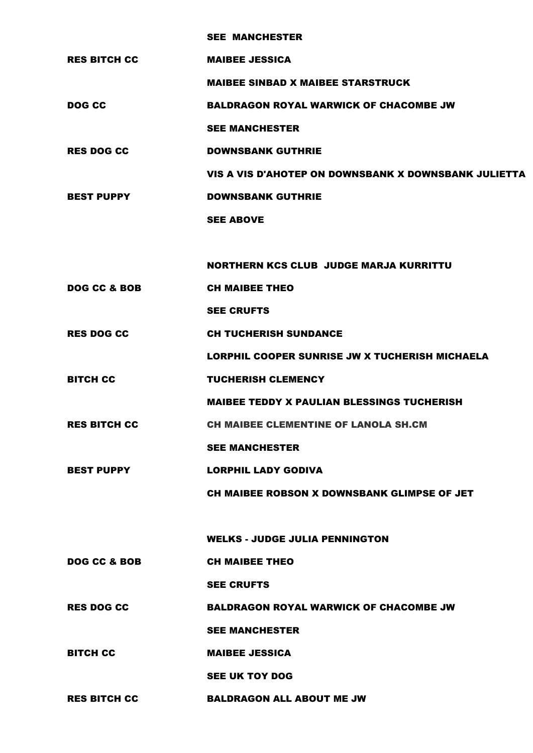|                     | <b>SEE MANCHESTER</b>                                |
|---------------------|------------------------------------------------------|
| <b>RES BITCH CC</b> | <b>MAIBEE JESSICA</b>                                |
|                     | <b>MAIBEE SINBAD X MAIBEE STARSTRUCK</b>             |
| <b>DOG CC</b>       | <b>BALDRAGON ROYAL WARWICK OF CHACOMBE JW</b>        |
|                     | <b>SEE MANCHESTER</b>                                |
| <b>RES DOG CC</b>   | <b>DOWNSBANK GUTHRIE</b>                             |
|                     | VIS A VIS D'AHOTEP ON DOWNSBANK X DOWNSBANK JULIETTA |
| <b>BEST PUPPY</b>   | <b>DOWNSBANK GUTHRIE</b>                             |
|                     | <b>SEE ABOVE</b>                                     |
|                     |                                                      |
|                     | <b>NORTHERN KCS CLUB JUDGE MARJA KURRITTU</b>        |
| DOG CC & BOB        | <b>CH MAIBEE THEO</b>                                |
|                     | <b>SEE CRUFTS</b>                                    |
| <b>RES DOG CC</b>   | <b>CH TUCHERISH SUNDANCE</b>                         |
|                     | LORPHIL COOPER SUNRISE JW X TUCHERISH MICHAELA       |
| <b>BITCH CC</b>     | <b>TUCHERISH CLEMENCY</b>                            |
|                     | <b>MAIBEE TEDDY X PAULIAN BLESSINGS TUCHERISH</b>    |
| <b>RES BITCH CC</b> | <b>CH MAIBEE CLEMENTINE OF LANOLA SH.CM</b>          |
|                     | <b>SEE MANCHESTER</b>                                |
| <b>BEST PUPPY</b>   | <b>LORPHIL LADY GODIVA</b>                           |
|                     | CH MAIBEE ROBSON X DOWNSBANK GLIMPSE OF JET          |
|                     |                                                      |
|                     | <b>WELKS - JUDGE JULIA PENNINGTON</b>                |
| DOG CC & BOB        | <b>CH MAIBEE THEO</b>                                |
|                     | <b>SEE CRUFTS</b>                                    |
|                     |                                                      |

RES DOG CC BALDRAGON ROYAL WARWICK OF CHACOMBE JW

SEE MANCHESTER

BITCH CC MAIBEE JESSICA

SEE UK TOY DOG

RES BITCH CC BALDRAGON ALL ABOUT ME JW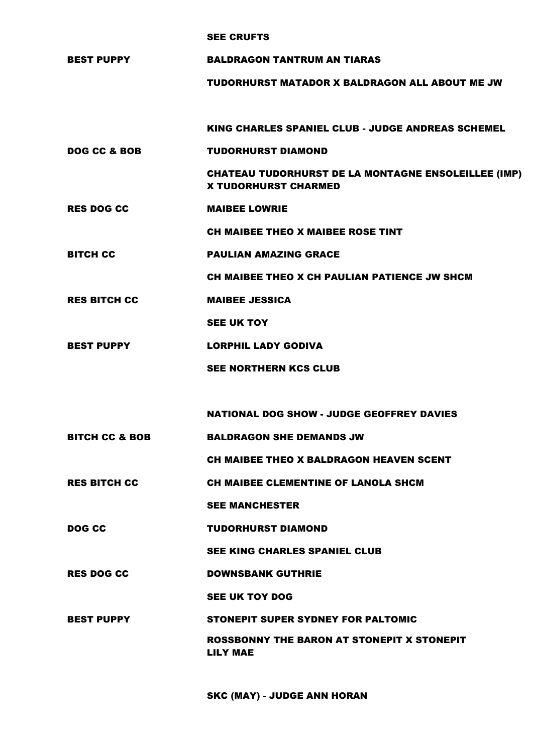## SEE CRUFTS

BEST PUPPY BALDRAGON TANTRUM AN TIARAS

TUDORHURST MATADOR X BALDRAGON ALL ABOUT ME JW

KING CHARLES SPANIEL CLUB - JUDGE ANDREAS SCHEMEL

DOG CC & BOB TUDORHURST DIAMOND

CHATEAU TUDORHURST DE LA MONTAGNE ENSOLEILLEE (IMP) X TUDORHURST CHARMED

RES DOG CC MAIBEE LOWRIE

CH MAIBEE THEO X MAIBEE ROSE TINT

BITCH CC PAULIAN AMAZING GRACE

CH MAIBEE THEO X CH PAULIAN PATIENCE JW SHCM

RES BITCH CC MAIBEE JESSICA

SEE UK TOY

- BEST PUPPY LORPHIL LADY GODIVA
	- SEE NORTHERN KCS CLUB

NATIONAL DOG SHOW - JUDGE GEOFFREY DAVIES

BITCH CC & BOB BALDRAGON SHE DEMANDS JW

CH MAIBEE THEO X BALDRAGON HEAVEN SCENT

RES BITCH CC CH MAIBEE CLEMENTINE OF LANOLA SHCM

SEE MANCHESTER

DOG CC **TUDORHURST DIAMOND** 

SEE KING CHARLES SPANIEL CLUB

RES DOG CC DOWNSBANK GUTHRIE

SEE UK TOY DOG

BEST PUPPY STONEPIT SUPER SYDNEY FOR PALTOMIC

ROSSBONNY THE BARON AT STONEPIT X STONEPIT LILY MAE

SKC (MAY) - JUDGE ANN HORAN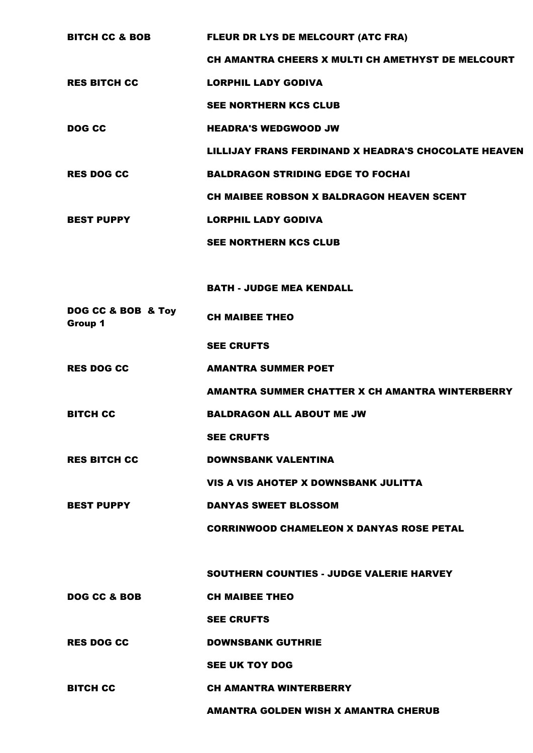| <b>BITCH CC &amp; BOB</b>     | FLEUR DR LYS DE MELCOURT (ATC FRA)                   |
|-------------------------------|------------------------------------------------------|
|                               | CH AMANTRA CHEERS X MULTI CH AMETHYST DE MELCOURT    |
| <b>RES BITCH CC</b>           | <b>LORPHIL LADY GODIVA</b>                           |
|                               | <b>SEE NORTHERN KCS CLUB</b>                         |
| <b>DOG CC</b>                 | <b>HEADRA'S WEDGWOOD JW</b>                          |
|                               | LILLIJAY FRANS FERDINAND X HEADRA'S CHOCOLATE HEAVEN |
| <b>RES DOG CC</b>             | <b>BALDRAGON STRIDING EDGE TO FOCHAI</b>             |
|                               | CH MAIBEE ROBSON X BALDRAGON HEAVEN SCENT            |
| <b>BEST PUPPY</b>             | <b>LORPHIL LADY GODIVA</b>                           |
|                               | <b>SEE NORTHERN KCS CLUB</b>                         |
|                               |                                                      |
|                               | <b>BATH - JUDGE MEA KENDALL</b>                      |
| DOG CC & BOB & Toy<br>Group 1 | <b>CH MAIBEE THEO</b>                                |
|                               | <b>SEE CRUFTS</b>                                    |
| <b>RES DOG CC</b>             | <b>AMANTRA SUMMER POET</b>                           |
|                               | AMANTRA SUMMER CHATTER X CH AMANTRA WINTERBERRY      |
| <b>BITCH CC</b>               | <b>BALDRAGON ALL ABOUT ME JW</b>                     |
|                               | <b>SEE CRUFTS</b>                                    |
| <b>RES BITCH CC</b>           | <b>DOWNSBANK VALENTINA</b>                           |
|                               | VIS A VIS AHOTEP X DOWNSBANK JULITTA                 |
| <b>BEST PUPPY</b>             | <b>DANYAS SWEET BLOSSOM</b>                          |
|                               | <b>CORRINWOOD CHAMELEON X DANYAS ROSE PETAL</b>      |
|                               |                                                      |
|                               | <b>SOUTHERN COUNTIES - JUDGE VALERIE HARVEY</b>      |
| DOG CC & BOB                  | <b>CH MAIBEE THEO</b>                                |
|                               | <b>SEE CRUFTS</b>                                    |
| <b>RES DOG CC</b>             | <b>DOWNSBANK GUTHRIE</b>                             |
|                               | <b>SEE UK TOY DOG</b>                                |
| <b>BITCH CC</b>               | <b>CH AMANTRA WINTERBERRY</b>                        |
|                               | <b>AMANTRA GOLDEN WISH X AMANTRA CHERUB</b>          |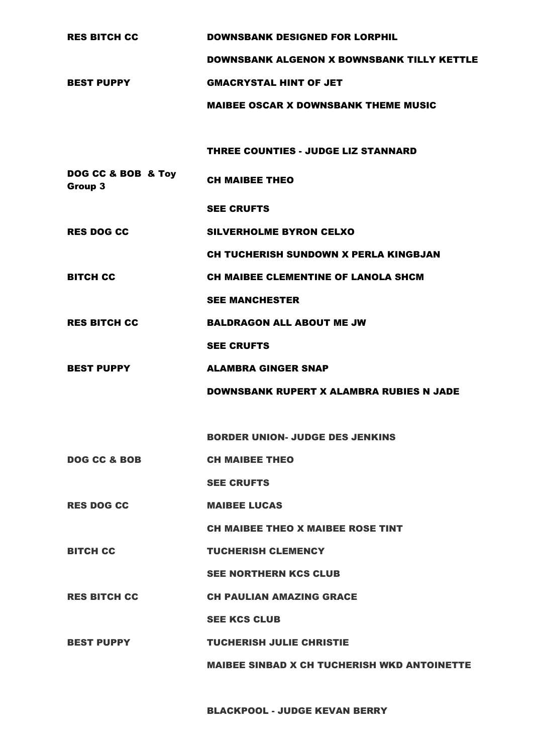| <b>RES BITCH CC</b>           | <b>DOWNSBANK DESIGNED FOR LORPHIL</b>              |
|-------------------------------|----------------------------------------------------|
|                               | <b>DOWNSBANK ALGENON X BOWNSBANK TILLY KETTLE</b>  |
| <b>BEST PUPPY</b>             | <b>GMACRYSTAL HINT OF JET</b>                      |
|                               | <b>MAIBEE OSCAR X DOWNSBANK THEME MUSIC</b>        |
|                               |                                                    |
|                               | <b>THREE COUNTIES - JUDGE LIZ STANNARD</b>         |
| DOG CC & BOB & Toy<br>Group 3 | <b>CH MAIBEE THEO</b>                              |
|                               | <b>SEE CRUFTS</b>                                  |
| <b>RES DOG CC</b>             | <b>SILVERHOLME BYRON CELXO</b>                     |
|                               | CH TUCHERISH SUNDOWN X PERLA KINGBJAN              |
| <b>BITCH CC</b>               | CH MAIBEE CLEMENTINE OF LANOLA SHCM                |
|                               | <b>SEE MANCHESTER</b>                              |
| <b>RES BITCH CC</b>           | <b>BALDRAGON ALL ABOUT ME JW</b>                   |
|                               | <b>SEE CRUFTS</b>                                  |
| <b>BEST PUPPY</b>             | <b>ALAMBRA GINGER SNAP</b>                         |
|                               | <b>DOWNSBANK RUPERT X ALAMBRA RUBIES N JADE</b>    |
|                               |                                                    |
|                               | <b>BORDER UNION- JUDGE DES JENKINS</b>             |
| <b>DOG CC &amp; BOB</b>       | <b>CH MAIBEE THEO</b>                              |
|                               | <b>SEE CRUFTS</b>                                  |
| <b>RES DOG CC</b>             | <b>MAIBEE LUCAS</b>                                |
|                               | <b>CH MAIBEE THEO X MAIBEE ROSE TINT</b>           |
| <b>BITCH CC</b>               | <b>TUCHERISH CLEMENCY</b>                          |
|                               | <b>SEE NORTHERN KCS CLUB</b>                       |
| <b>RES BITCH CC</b>           | <b>CH PAULIAN AMAZING GRACE</b>                    |
|                               | <b>SEE KCS CLUB</b>                                |
| <b>BEST PUPPY</b>             | <b>TUCHERISH JULIE CHRISTIE</b>                    |
|                               | <b>MAIBEE SINBAD X CH TUCHERISH WKD ANTOINETTE</b> |

BLACKPOOL - JUDGE KEVAN BERRY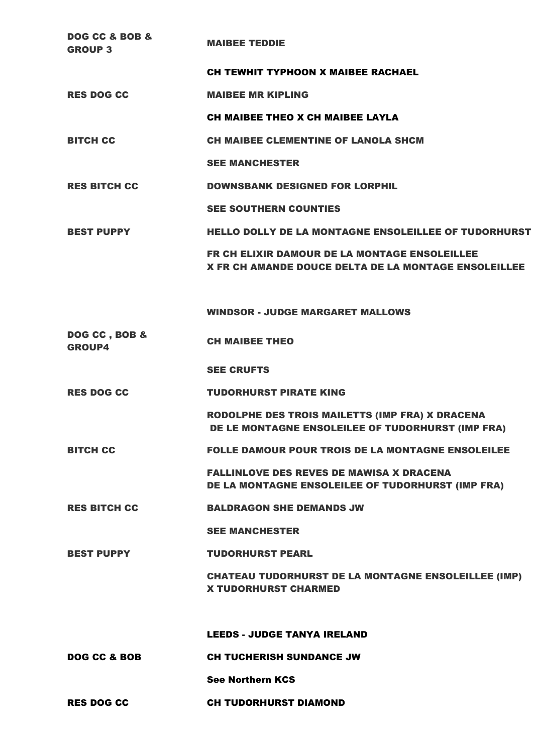| DOG CC & BOB &<br><b>GROUP 3</b> | <b>MAIBEE TEDDIE</b>                                                                                         |
|----------------------------------|--------------------------------------------------------------------------------------------------------------|
|                                  | <b>CH TEWHIT TYPHOON X MAIBEE RACHAEL</b>                                                                    |
| <b>RES DOG CC</b>                | <b>MAIBEE MR KIPLING</b>                                                                                     |
|                                  | CH MAIBEE THEO X CH MAIBEE LAYLA                                                                             |
| <b>BITCH CC</b>                  | <b>CH MAIBEE CLEMENTINE OF LANOLA SHCM</b>                                                                   |
|                                  | <b>SEE MANCHESTER</b>                                                                                        |
| <b>RES BITCH CC</b>              | <b>DOWNSBANK DESIGNED FOR LORPHIL</b>                                                                        |
|                                  | <b>SEE SOUTHERN COUNTIES</b>                                                                                 |
| <b>BEST PUPPY</b>                | <b>HELLO DOLLY DE LA MONTAGNE ENSOLEILLEE OF TUDORHURST</b>                                                  |
|                                  | <b>FR CH ELIXIR DAMOUR DE LA MONTAGE ENSOLEILLEE</b><br>X FR CH AMANDE DOUCE DELTA DE LA MONTAGE ENSOLEILLEE |
|                                  | <b>WINDSOR - JUDGE MARGARET MALLOWS</b>                                                                      |
| DOG CC, BOB &<br><b>GROUP4</b>   | <b>CH MAIBEE THEO</b>                                                                                        |
|                                  | <b>SEE CRUFTS</b>                                                                                            |
| <b>RES DOG CC</b>                | <b>TUDORHURST PIRATE KING</b>                                                                                |
|                                  | RODOLPHE DES TROIS MAILETTS (IMP FRA) X DRACENA<br>DE LE MONTAGNE ENSOLEILEE OF TUDORHURST (IMP FRA)         |
| <b>BITCH CC</b>                  | <b>FOLLE DAMOUR POUR TROIS DE LA MONTAGNE ENSOLEILEE</b>                                                     |
|                                  | <b>FALLINLOVE DES REVES DE MAWISA X DRACENA</b><br>DE LA MONTAGNE ENSOLEILEE OF TUDORHURST (IMP FRA)         |
| <b>RES BITCH CC</b>              | <b>BALDRAGON SHE DEMANDS JW</b>                                                                              |
|                                  | <b>SEE MANCHESTER</b>                                                                                        |
| <b>BEST PUPPY</b>                | <b>TUDORHURST PEARL</b>                                                                                      |
|                                  | <b>CHATEAU TUDORHURST DE LA MONTAGNE ENSOLEILLEE (IMP)</b><br><b>X TUDORHURST CHARMED</b>                    |
|                                  | <b>LEEDS - JUDGE TANYA IRELAND</b>                                                                           |
| DOG CC & BOB                     | <b>CH TUCHERISH SUNDANCE JW</b>                                                                              |
|                                  | <b>See Northern KCS</b>                                                                                      |
|                                  |                                                                                                              |
| <b>RES DOG CC</b>                | <b>CH TUDORHURST DIAMOND</b>                                                                                 |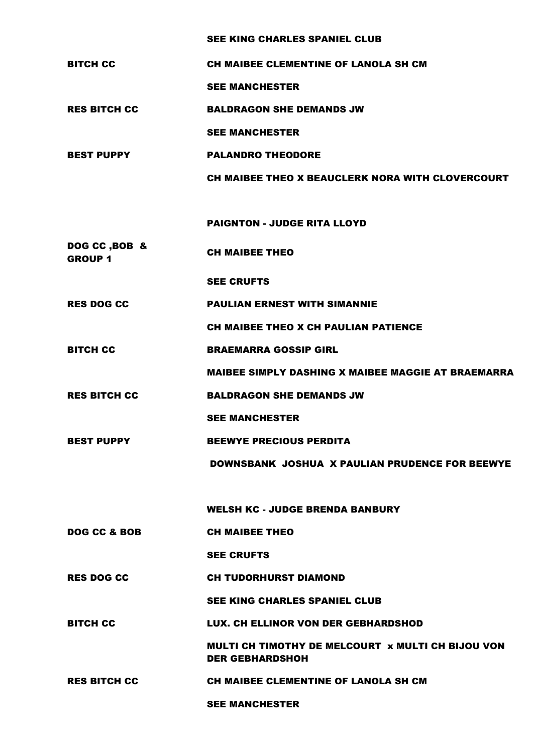SEE KING CHARLES SPANIEL CLUB

| <b>BITCH CC</b>                 | <b>CH MAIBEE CLEMENTINE OF LANOLA SH CM</b>                                 |
|---------------------------------|-----------------------------------------------------------------------------|
|                                 | <b>SEE MANCHESTER</b>                                                       |
| <b>RES BITCH CC</b>             | <b>BALDRAGON SHE DEMANDS JW</b>                                             |
|                                 | <b>SEE MANCHESTER</b>                                                       |
| <b>BEST PUPPY</b>               | <b>PALANDRO THEODORE</b>                                                    |
|                                 | CH MAIBEE THEO X BEAUCLERK NORA WITH CLOVERCOURT                            |
|                                 |                                                                             |
|                                 | <b>PAIGNTON - JUDGE RITA LLOYD</b>                                          |
| DOG CC, BOB &<br><b>GROUP 1</b> | <b>CH MAIBEE THEO</b>                                                       |
|                                 | <b>SEE CRUFTS</b>                                                           |
| <b>RES DOG CC</b>               | <b>PAULIAN ERNEST WITH SIMANNIE</b>                                         |
|                                 | <b>CH MAIBEE THEO X CH PAULIAN PATIENCE</b>                                 |
| <b>BITCH CC</b>                 | <b>BRAEMARRA GOSSIP GIRL</b>                                                |
|                                 | <b>MAIBEE SIMPLY DASHING X MAIBEE MAGGIE AT BRAEMARRA</b>                   |
| <b>RES BITCH CC</b>             | <b>BALDRAGON SHE DEMANDS JW</b>                                             |
|                                 | <b>SEE MANCHESTER</b>                                                       |
| <b>BEST PUPPY</b>               | <b>BEEWYE PRECIOUS PERDITA</b>                                              |
|                                 | <b>DOWNSBANK JOSHUA X PAULIAN PRUDENCE FOR BEEWYE</b>                       |
|                                 |                                                                             |
|                                 | <b>WELSH KC - JUDGE BRENDA BANBURY</b>                                      |
| DOG CC & BOB                    | <b>CH MAIBEE THEO</b>                                                       |
|                                 | <b>SEE CRUFTS</b>                                                           |
| <b>RES DOG CC</b>               | <b>CH TUDORHURST DIAMOND</b>                                                |
|                                 | <b>SEE KING CHARLES SPANIEL CLUB</b>                                        |
| <b>BITCH CC</b>                 | LUX. CH ELLINOR VON DER GEBHARDSHOD                                         |
|                                 | MULTI CH TIMOTHY DE MELCOURT x MULTI CH BIJOU VON<br><b>DER GEBHARDSHOH</b> |
| <b>RES BITCH CC</b>             | <b>CH MAIBEE CLEMENTINE OF LANOLA SH CM</b>                                 |
|                                 | <b>SEE MANCHESTER</b>                                                       |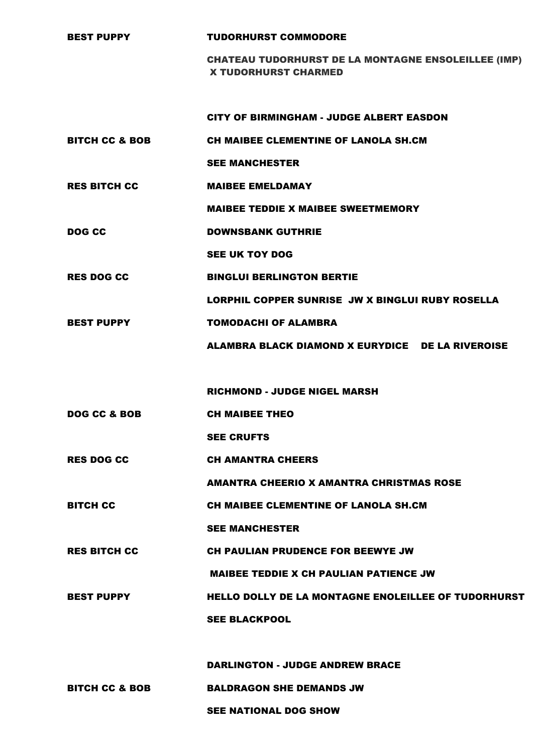| <b>BEST PUPPY</b>         | <b>TUDORHURST COMMODORE</b>                                                               |
|---------------------------|-------------------------------------------------------------------------------------------|
|                           | <b>CHATEAU TUDORHURST DE LA MONTAGNE ENSOLEILLEE (IMP)</b><br><b>X TUDORHURST CHARMED</b> |
|                           |                                                                                           |
|                           | <b>CITY OF BIRMINGHAM - JUDGE ALBERT EASDON</b>                                           |
| <b>BITCH CC &amp; BOB</b> | <b>CH MAIBEE CLEMENTINE OF LANOLA SH.CM</b>                                               |
|                           | <b>SEE MANCHESTER</b>                                                                     |
| <b>RES BITCH CC</b>       | <b>MAIBEE EMELDAMAY</b>                                                                   |
|                           | <b>MAIBEE TEDDIE X MAIBEE SWEETMEMORY</b>                                                 |
| DOG CC                    | <b>DOWNSBANK GUTHRIE</b>                                                                  |
|                           | <b>SEE UK TOY DOG</b>                                                                     |
| <b>RES DOG CC</b>         | <b>BINGLUI BERLINGTON BERTIE</b>                                                          |
|                           | LORPHIL COPPER SUNRISE JW X BINGLUI RUBY ROSELLA                                          |
| <b>BEST PUPPY</b>         | <b>TOMODACHI OF ALAMBRA</b>                                                               |
|                           | ALAMBRA BLACK DIAMOND X EURYDICE DE LA RIVEROISE                                          |
|                           |                                                                                           |
|                           | <b>RICHMOND - JUDGE NIGEL MARSH</b>                                                       |
| DOG CC & BOB              | <b>CH MAIBEE THEO</b>                                                                     |
|                           | <b>SEE CRUFTS</b>                                                                         |
| <b>RES DOG CC</b>         | <b>CH AMANTRA CHEERS</b>                                                                  |
|                           | <b>AMANTRA CHEERIO X AMANTRA CHRISTMAS ROSE</b>                                           |
| <b>BITCH CC</b>           | <b>CH MAIBEE CLEMENTINE OF LANOLA SH.CM</b>                                               |
|                           | <b>SEE MANCHESTER</b>                                                                     |
| <b>RES BITCH CC</b>       | <b>CH PAULIAN PRUDENCE FOR BEEWYE JW</b>                                                  |
|                           | <b>MAIBEE TEDDIE X CH PAULIAN PATIENCE JW</b>                                             |
| <b>BEST PUPPY</b>         |                                                                                           |
|                           | <b>HELLO DOLLY DE LA MONTAGNE ENOLEILLEE OF TUDORHURST</b>                                |
|                           | <b>SEE BLACKPOOL</b>                                                                      |
|                           |                                                                                           |
|                           | <b>DARLINGTON - JUDGE ANDREW BRACE</b>                                                    |

SEE NATIONAL DOG SHOW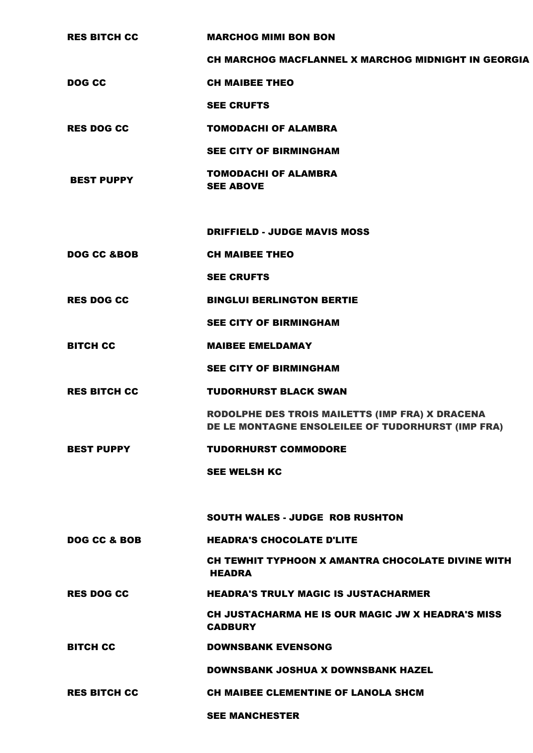| <b>RES BITCH CC</b>    | <b>MARCHOG MIMI BON BON</b>                                                                          |
|------------------------|------------------------------------------------------------------------------------------------------|
|                        | CH MARCHOG MACFLANNEL X MARCHOG MIDNIGHT IN GEORGIA                                                  |
| DOG CC                 | <b>CH MAIBEE THEO</b>                                                                                |
|                        | <b>SEE CRUFTS</b>                                                                                    |
| <b>RES DOG CC</b>      | <b>TOMODACHI OF ALAMBRA</b>                                                                          |
|                        | <b>SEE CITY OF BIRMINGHAM</b>                                                                        |
| <b>BEST PUPPY</b>      | <b>TOMODACHI OF ALAMBRA</b><br><b>SEE ABOVE</b>                                                      |
|                        | <b>DRIFFIELD - JUDGE MAVIS MOSS</b>                                                                  |
| <b>DOG CC &amp;BOB</b> | <b>CH MAIBEE THEO</b>                                                                                |
|                        | <b>SEE CRUFTS</b>                                                                                    |
| <b>RES DOG CC</b>      | <b>BINGLUI BERLINGTON BERTIE</b>                                                                     |
|                        | <b>SEE CITY OF BIRMINGHAM</b>                                                                        |
| <b>BITCH CC</b>        | <b>MAIBEE EMELDAMAY</b>                                                                              |
|                        | <b>SEE CITY OF BIRMINGHAM</b>                                                                        |
| <b>RES BITCH CC</b>    | <b>TUDORHURST BLACK SWAN</b>                                                                         |
|                        | RODOLPHE DES TROIS MAILETTS (IMP FRA) X DRACENA<br>DE LE MONTAGNE ENSOLEILEE OF TUDORHURST (IMP FRA) |
| <b>BEST PUPPY</b>      | <b>TUDORHURST COMMODORE</b>                                                                          |
|                        | <b>SEE WELSH KC</b>                                                                                  |
|                        | <b>SOUTH WALES - JUDGE ROB RUSHTON</b>                                                               |
| DOG CC & BOB           | <b>HEADRA'S CHOCOLATE D'LITE</b>                                                                     |
|                        | CH TEWHIT TYPHOON X AMANTRA CHOCOLATE DIVINE WITH<br>HEADRA                                          |
| <b>RES DOG CC</b>      | <b>HEADRA'S TRULY MAGIC IS JUSTACHARMER</b>                                                          |
|                        | CH JUSTACHARMA HE IS OUR MAGIC JW X HEADRA'S MISS<br><b>CADBURY</b>                                  |
| <b>BITCH CC</b>        | <b>DOWNSBANK EVENSONG</b>                                                                            |
|                        | <b>DOWNSBANK JOSHUA X DOWNSBANK HAZEL</b>                                                            |
| <b>RES BITCH CC</b>    | <b>CH MAIBEE CLEMENTINE OF LANOLA SHCM</b>                                                           |
|                        | <b>SEE MANCHESTER</b>                                                                                |